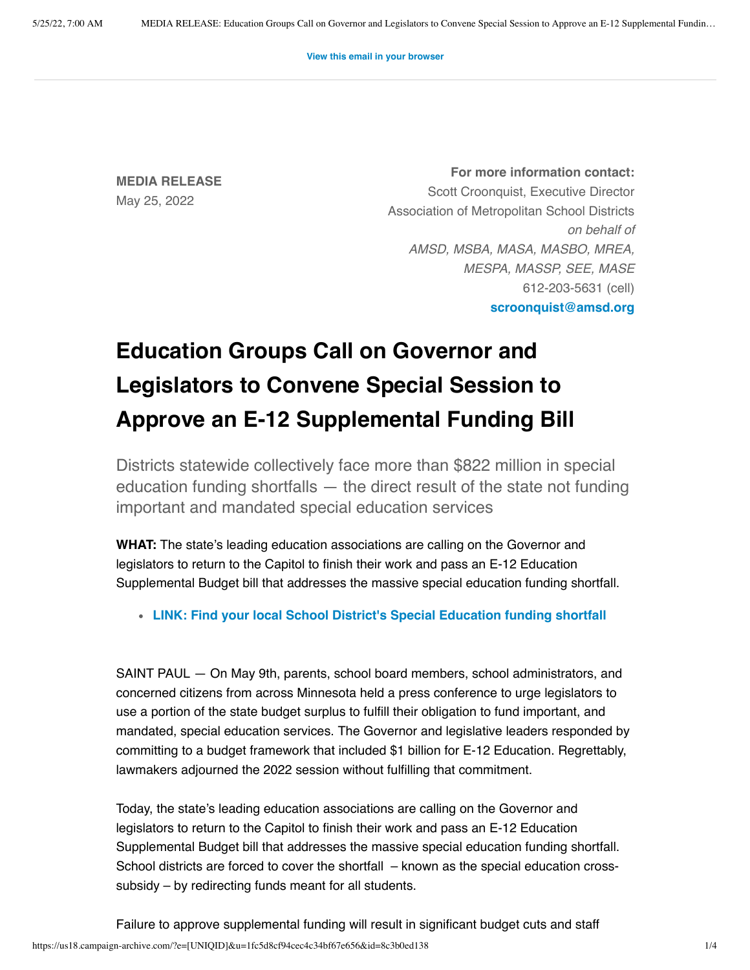**[View this email in your browser](https://us18.campaign-archive.com/?e=[UNIQID]&u=1fc5d8cf94cec4c34bf67e656&id=8c3b0ed138)**

**MEDIA RELEASE** May 25, 2022

**For more information contact:** Scott Croonquist, Executive Director Association of Metropolitan School Districts *on behalf of AMSD, MSBA, MASA, MASBO, MREA, MESPA, MASSP, SEE, MASE* 612-203-5631 (cell) **[scroonquist@amsd.org](mailto:scroonquist@amsd.org)**

## **Education Groups Call on Governor and Legislators to Convene Special Session to Approve an E-12 Supplemental Funding Bill**

Districts statewide collectively face more than \$822 million in special education funding shortfalls — the direct result of the state not funding important and mandated special education services

**WHAT:** The state's leading education associations are calling on the Governor and legislators to return to the Capitol to finish their work and pass an E-12 Education Supplemental Budget bill that addresses the massive special education funding shortfall.

**[LINK: Find your local School District's Special Education funding shortfall](https://www.amsd.org/wp-content/uploads/2022/04/FY2022-Special-Education-Cross-Subsidy.pdf)**

SAINT PAUL — On May 9th, parents, school board members, school administrators, and concerned citizens from across Minnesota held a press conference to urge legislators to use a portion of the state budget surplus to fulfill their obligation to fund important, and mandated, special education services. The Governor and legislative leaders responded by committing to a budget framework that included \$1 billion for E-12 Education. Regrettably, lawmakers adjourned the 2022 session without fulfilling that commitment.

Today, the state's leading education associations are calling on the Governor and legislators to return to the Capitol to finish their work and pass an E-12 Education Supplemental Budget bill that addresses the massive special education funding shortfall. School districts are forced to cover the shortfall – known as the special education crosssubsidy – by redirecting funds meant for all students.

https://us18.campaign-archive.com/?e=[UNIQID]&u=1fc5d8cf94cec4c34bf67e656&id=8c3b0ed138 1/4 Failure to approve supplemental funding will result in significant budget cuts and staff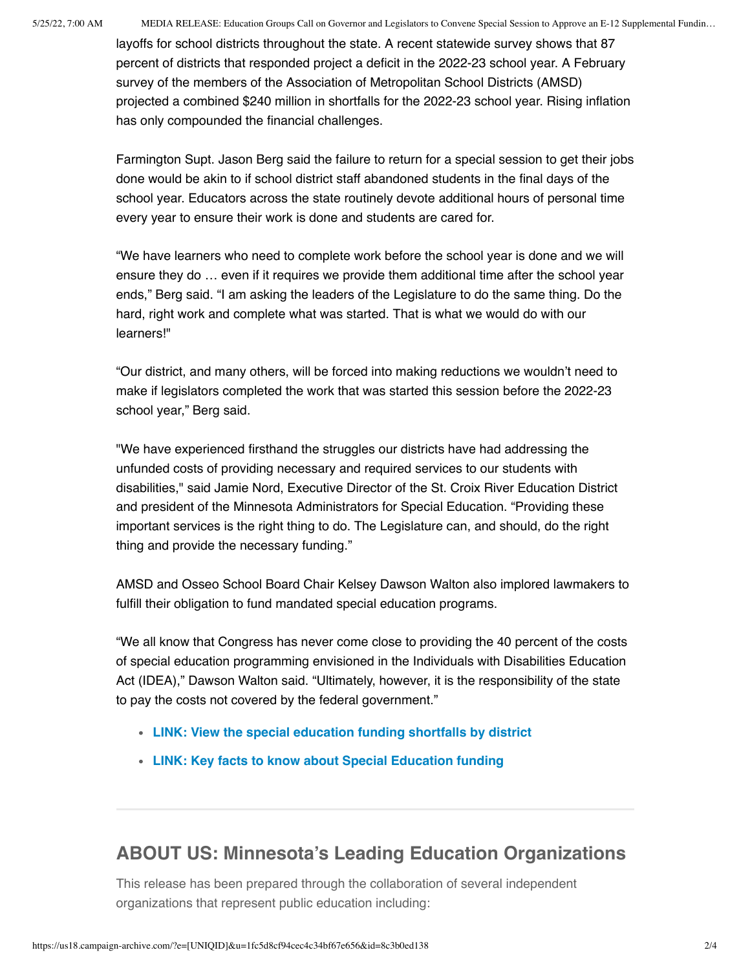5/25/22, 7:00 AM MEDIA RELEASE: Education Groups Call on Governor and Legislators to Convene Special Session to Approve an E-12 Supplemental Fundin…

layoffs for school districts throughout the state. A recent statewide survey shows that 87 percent of districts that responded project a deficit in the 2022-23 school year. A February survey of the members of the Association of Metropolitan School Districts (AMSD) projected a combined \$240 million in shortfalls for the 2022-23 school year. Rising inflation has only compounded the financial challenges.

Farmington Supt. Jason Berg said the failure to return for a special session to get their jobs done would be akin to if school district staff abandoned students in the final days of the school year. Educators across the state routinely devote additional hours of personal time every year to ensure their work is done and students are cared for.

"We have learners who need to complete work before the school year is done and we will ensure they do … even if it requires we provide them additional time after the school year ends," Berg said. "I am asking the leaders of the Legislature to do the same thing. Do the hard, right work and complete what was started. That is what we would do with our learners!"

"Our district, and many others, will be forced into making reductions we wouldn't need to make if legislators completed the work that was started this session before the 2022-23 school year," Berg said.

"We have experienced firsthand the struggles our districts have had addressing the unfunded costs of providing necessary and required services to our students with disabilities," said Jamie Nord, Executive Director of the St. Croix River Education District and president of the Minnesota Administrators for Special Education. "Providing these important services is the right thing to do. The Legislature can, and should, do the right thing and provide the necessary funding."

AMSD and Osseo School Board Chair Kelsey Dawson Walton also implored lawmakers to fulfill their obligation to fund mandated special education programs.

"We all know that Congress has never come close to providing the 40 percent of the costs of special education programming envisioned in the Individuals with Disabilities Education Act (IDEA)," Dawson Walton said. "Ultimately, however, it is the responsibility of the state to pay the costs not covered by the federal government."

- **[LINK: View the special education funding shortfalls by district](https://www.amsd.org/wp-content/uploads/2022/04/FY2022-Special-Education-Cross-Subsidy.pdf)**
- **[LINK: Key facts to know about Special Education funding](https://www.amsd.org/wp-content/uploads/2022/05/SPED-Fact-Sheet.docx.pdf)**

## **ABOUT US: Minnesota's Leading Education Organizations**

This release has been prepared through the collaboration of several independent organizations that represent public education including: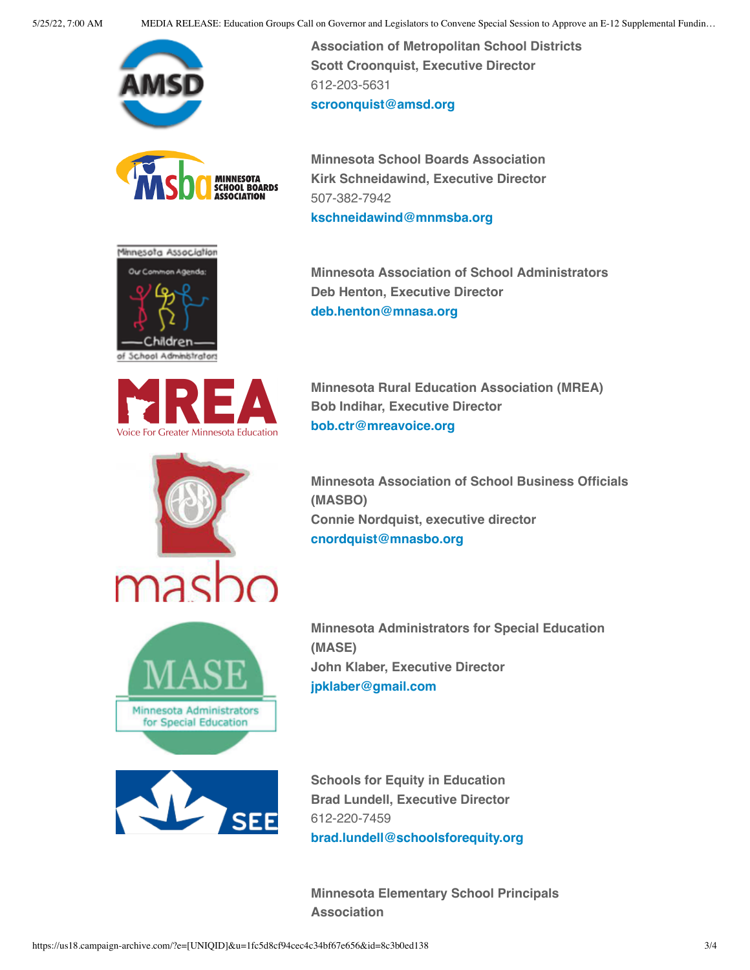

**Scott Croonquist, Executive Director**

612-203-5631

507-382-7942

**Association of Metropolitan School Districts**







**[scroonquist@amsd.org](mailto:scroonquist@amsd.org) Minnesota School Boards Association Kirk Schneidawind, Executive Director**

**[kschneidawind@mnmsba.org](mailto:kschneidawind@mnmsba.org)**

**Minnesota Association of School Administrators Deb Henton, Executive Director [deb.henton@mnasa.org](mailto:deb.henton@mnasa.org)**



**Minnesota Rural Education Association (MREA) Bob Indihar, Executive Director [bob.ctr@mreavoice.org](mailto:bob.ctr@mreavoice.org)**



**Minnesota Association of School Business Officials (MASBO) Connie Nordquist, executive director [cnordquist@mnasbo.org](mailto:cnordquist@mnasbo.org)**



**Minnesota Administrators for Special Education (MASE) John Klaber, Executive Director [jpklaber@gmail.com](mailto:jpklaber@gmail.com)**



**Schools for Equity in Education Brad Lundell, Executive Director** 612-220-7459 **[brad.lundell@schoolsforequity.org](mailto:brad.lundell@schoolsforequity.org)**

**Minnesota Elementary School Principals Association**